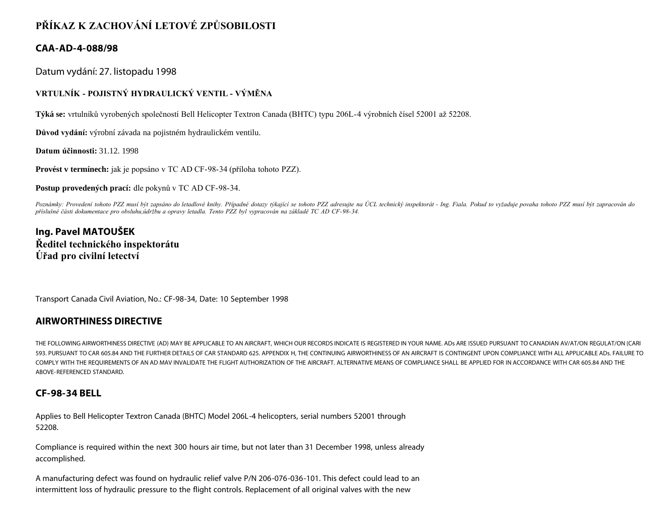# **PŘÍKAZ K ZACHOVÁNÍ LETOVÉ ZPŮSOBILOSTI**

### **CAA-AD-4-088/98**

Datum vydání: 27. listopadu 1998

### **VRTULNÍK - POJISTNÝ HYDRAULICKÝ VENTIL - VÝMĚNA**

**Týká se:** vrtulníků vyrobených společností Bell Helicopter Textron Canada (BHTC) typu 206L-4 výrobních čísel 52001 až 52208.

**Důvod vydání:** výrobní závada na pojistném hydraulickém ventilu.

**Datum účinnosti:** 31.12. 1998

**Provést v termínech:** jak je popsáno v TC AD CF-98-34 (příloha tohoto PZZ).

**Postup provedených prací:** dle pokynů v TC AD CF-98-34.

Poznámky: Provedení tohoto PZZ musí být zapsáno do letadlové knihy. Případné dotazy týkající se tohoto PZZ adresujte na ÚCL technický inspektorát - Ing. Fiala. Pokud to vyžaduje povaha tohoto PZZ musí být zapracován do *příslušné části dokumentace pro obsluhu,údržbu a opravy letadla. Tento PZZ byl vypracován na základě TC AD CF-98-34.*

# **Ing. Pavel MATOUŠEK Ředitel technického inspektorátu Úřad pro civilní letectví**

Transport Canada Civil Aviation, No.: CF-98-34, Date: 10 September 1998

#### **AIRWORTHINESS DIRECTIVE**

THE FOLLOWING AIRWORTHINESS DIRECTIVE (AD) MAY BE APPLICABLE TO AN AIRCRAFT, WHICH OUR RECORDS INDICATE IS REGISTERED IN YOUR NAME. ADs ARE ISSUED PURSUANT TO CANADIAN AV/AT/ON REGULAT/ON (CARI 593. PURSUANT TO CAR 605.84 AND THE FURTHER DETAILS OF CAR STANDARD 625. APPENDIX H, THE CONTINUING AIRWORTHINESS OF AN AIRCRAFT IS CONTINGENT UPON COMPLIANCE WITH ALL APPLICABLE ADs. FAILURE TO COMPLY WITH THE REQUIREMENTS OF AN AD MAV INVALIDATE THE FLIGHT AUTHORIZATION OF THE AIRCRAFT. ALTERNATIVE MEANS OF COMPLIANCE SHALL BE APPLIED FOR IN ACCORDANCE WITH CAR 605.84 AND THE ABOVE-REFERENCED STANDARD.

## **CF-98-34 BELL**

Applies to Bell Helicopter Textron Canada (BHTC) Model 206L-4 helicopters, serial numbers 52001 through 52208.

Compliance is required within the next 300 hours air time, but not later than 31 December 1998, unless already accomplished.

A manufacturing defect was found on hydraulic relief valve P/N 206-076-036-101. This defect could lead to an intermittent loss of hydraulic pressure to the flight controls. Replacement of all original valves with the new